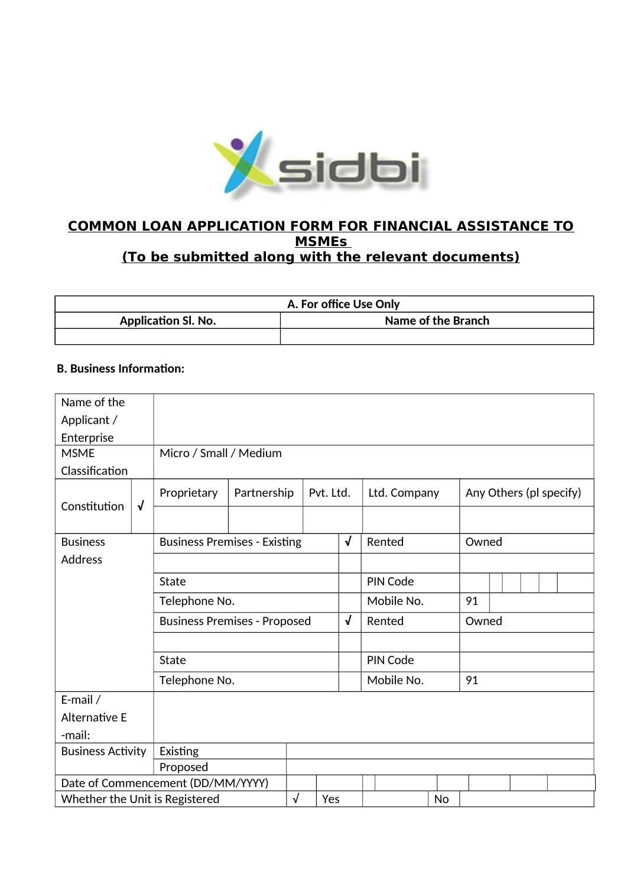

# **COMMON LOAN APPLICATION FORM FOR FINANCIAL ASSISTANCE TO MSMEs (To be submitted along with the relevant documents)**

| A. For office Use Only     |                    |  |  |  |  |
|----------------------------|--------------------|--|--|--|--|
| <b>Application Sl. No.</b> | Name of the Branch |  |  |  |  |
|                            |                    |  |  |  |  |

# **B. Business Information:**

| Name of the                    |              |                                     |  |           |                           |            |                  |                 |                         |       |  |  |  |
|--------------------------------|--------------|-------------------------------------|--|-----------|---------------------------|------------|------------------|-----------------|-------------------------|-------|--|--|--|
| Applicant /                    |              |                                     |  |           |                           |            |                  |                 |                         |       |  |  |  |
| Enterprise                     |              |                                     |  |           |                           |            |                  |                 |                         |       |  |  |  |
| <b>MSME</b>                    |              | Micro / Small / Medium              |  |           |                           |            |                  |                 |                         |       |  |  |  |
| Classification                 |              |                                     |  |           |                           |            |                  |                 |                         |       |  |  |  |
| Constitution                   | $\sqrt{ }$   | Proprietary<br>Partnership          |  |           | Pvt. Ltd.<br>Ltd. Company |            |                  |                 | Any Others (pl specify) |       |  |  |  |
|                                |              |                                     |  |           |                           |            |                  |                 |                         |       |  |  |  |
| <b>Business</b>                |              | <b>Business Premises - Existing</b> |  |           |                           | $\sqrt{ }$ |                  | Rented          |                         | Owned |  |  |  |
| <b>Address</b>                 |              |                                     |  |           |                           |            |                  |                 |                         |       |  |  |  |
|                                | <b>State</b> |                                     |  |           |                           |            |                  | <b>PIN Code</b> |                         |       |  |  |  |
|                                |              | Telephone No.                       |  |           |                           |            |                  | Mobile No.      |                         | 91    |  |  |  |
|                                |              | <b>Business Premises - Proposed</b> |  |           |                           | $\sqrt{ }$ |                  | Rented          | Owned                   |       |  |  |  |
|                                |              |                                     |  |           |                           |            |                  |                 |                         |       |  |  |  |
|                                |              | <b>State</b>                        |  |           |                           |            |                  | <b>PIN Code</b> |                         |       |  |  |  |
|                                |              | Telephone No.                       |  |           |                           |            | Mobile No.<br>91 |                 |                         |       |  |  |  |
| E-mail /                       |              |                                     |  |           |                           |            |                  |                 |                         |       |  |  |  |
| <b>Alternative E</b>           |              |                                     |  |           |                           |            |                  |                 |                         |       |  |  |  |
| -mail:                         |              |                                     |  |           |                           |            |                  |                 |                         |       |  |  |  |
| <b>Business Activity</b>       |              | Existing                            |  |           |                           |            |                  |                 |                         |       |  |  |  |
|                                |              | Proposed                            |  |           |                           |            |                  |                 |                         |       |  |  |  |
|                                |              | Date of Commencement (DD/MM/YYYY)   |  |           |                           |            |                  |                 |                         |       |  |  |  |
| Whether the Unit is Registered |              |                                     |  | $\sqrt{}$ | Yes                       |            |                  |                 | <b>No</b>               |       |  |  |  |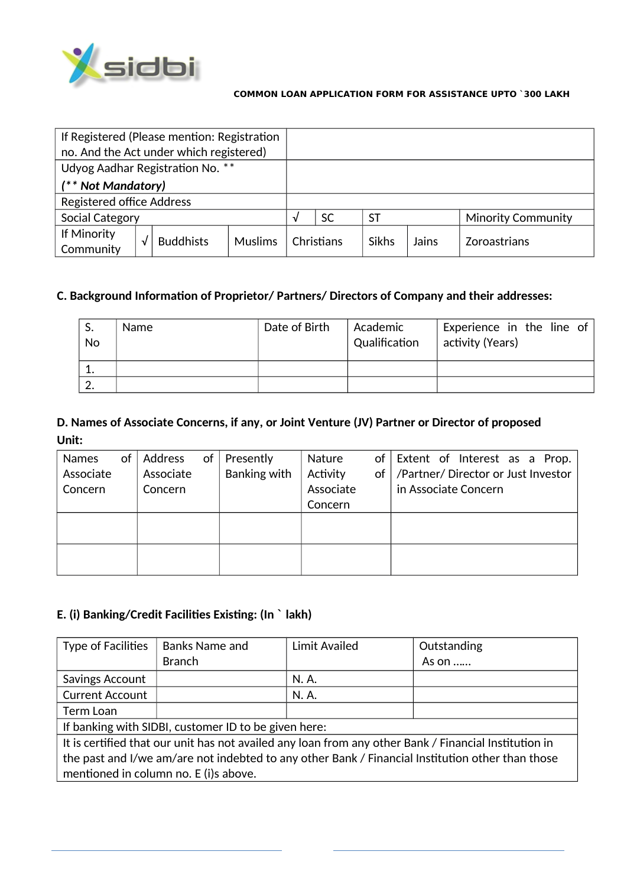

| If Registered (Please mention: Registration |  |                  |                |   |            |              |       |                           |
|---------------------------------------------|--|------------------|----------------|---|------------|--------------|-------|---------------------------|
| no. And the Act under which registered)     |  |                  |                |   |            |              |       |                           |
| Udyog Aadhar Registration No. **            |  |                  |                |   |            |              |       |                           |
| (** Not Mandatory)                          |  |                  |                |   |            |              |       |                           |
| <b>Registered office Address</b>            |  |                  |                |   |            |              |       |                           |
| Social Category                             |  |                  |                | V | <b>SC</b>  | <b>ST</b>    |       | <b>Minority Community</b> |
| If Minority<br>Community                    |  | <b>Buddhists</b> | <b>Muslims</b> |   | Christians | <b>Sikhs</b> | Jains | <b>Zoroastrians</b>       |

# C. Background Information of Proprietor/Partners/Directors of Company and their addresses:

| S.<br>No | <b>Name</b> | Date of Birth | Academic<br>Qualification | Experience in the line of<br>activity (Years) |
|----------|-------------|---------------|---------------------------|-----------------------------------------------|
| 1.       |             |               |                           |                                               |
| 2.       |             |               |                           |                                               |

# D. Names of Associate Concerns, if any, or Joint Venture (JV) Partner or Director of proposed Unit:

| <b>Names</b> | of | Address   | of | Presently    | Nature    | of Extent of Interest as a Prop.         |
|--------------|----|-----------|----|--------------|-----------|------------------------------------------|
| Associate    |    | Associate |    | Banking with | Activity  | of   /Partner/ Director or Just Investor |
| Concern      |    | Concern   |    |              | Associate | in Associate Concern                     |
|              |    |           |    |              | Concern   |                                          |
|              |    |           |    |              |           |                                          |
|              |    |           |    |              |           |                                          |
|              |    |           |    |              |           |                                          |
|              |    |           |    |              |           |                                          |

## E. (i) Banking/Credit Facilities Existing: (In ` lakh)

| <b>Type of Facilities</b>                                                                        | <b>Banks Name and</b>                                                                                 | Limit Availed | Outstanding   |  |  |  |  |
|--------------------------------------------------------------------------------------------------|-------------------------------------------------------------------------------------------------------|---------------|---------------|--|--|--|--|
|                                                                                                  | <b>Branch</b>                                                                                         |               | As on $\dots$ |  |  |  |  |
| Savings Account                                                                                  |                                                                                                       | N. A.         |               |  |  |  |  |
| <b>Current Account</b>                                                                           |                                                                                                       | N. A.         |               |  |  |  |  |
| Term Loan                                                                                        |                                                                                                       |               |               |  |  |  |  |
|                                                                                                  | If banking with SIDBI, customer ID to be given here:                                                  |               |               |  |  |  |  |
|                                                                                                  | It is certified that our unit has not availed any loan from any other Bank / Financial Institution in |               |               |  |  |  |  |
| the past and I/we am/are not indebted to any other Bank / Financial Institution other than those |                                                                                                       |               |               |  |  |  |  |
| mentioned in column no. E (i)s above.                                                            |                                                                                                       |               |               |  |  |  |  |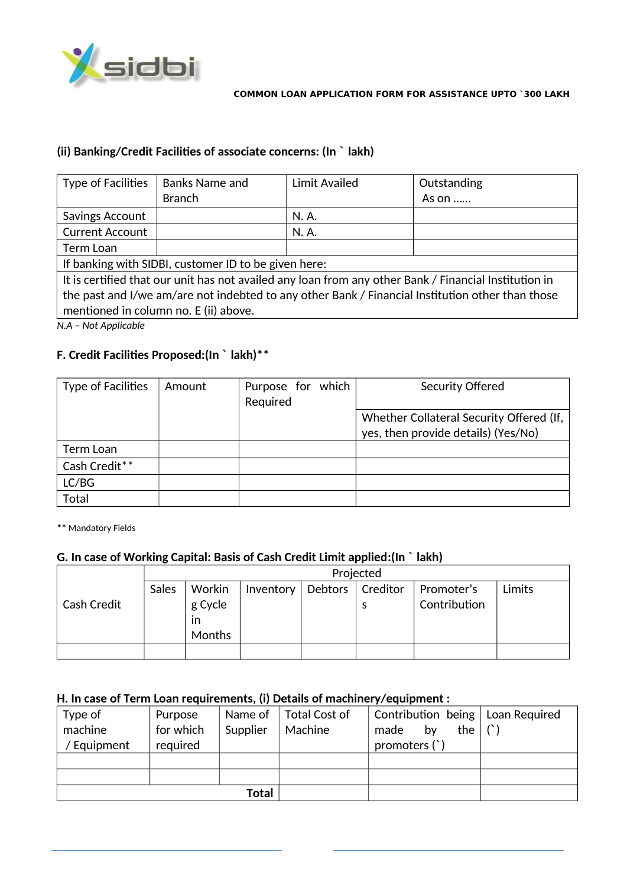

# (ii) Banking/Credit Facilities of associate concerns: (In ` lakh)

| <b>Type of Facilities</b>                                                                        | <b>Banks Name and</b>                                                                                 | Limit Availed | Outstanding   |  |  |  |
|--------------------------------------------------------------------------------------------------|-------------------------------------------------------------------------------------------------------|---------------|---------------|--|--|--|
|                                                                                                  | <b>Branch</b>                                                                                         |               | As on $\dots$ |  |  |  |
| Savings Account                                                                                  |                                                                                                       | N. A.         |               |  |  |  |
| <b>Current Account</b>                                                                           |                                                                                                       | N. A.         |               |  |  |  |
| Term Loan                                                                                        |                                                                                                       |               |               |  |  |  |
|                                                                                                  | If banking with SIDBI, customer ID to be given here:                                                  |               |               |  |  |  |
|                                                                                                  | It is certified that our unit has not availed any loan from any other Bank / Financial Institution in |               |               |  |  |  |
| the past and I/we am/are not indebted to any other Bank / Financial Institution other than those |                                                                                                       |               |               |  |  |  |
|                                                                                                  | mentioned in column no. E (ii) above.                                                                 |               |               |  |  |  |

*N.A – Not Applicable*

## **F. Credit Facilities Proposed: (In ` lakh) \*\***

| <b>Type of Facilities</b> | Amount | Purpose for which<br>Required | Security Offered                         |
|---------------------------|--------|-------------------------------|------------------------------------------|
|                           |        |                               | Whether Collateral Security Offered (If, |
|                           |        |                               | yes, then provide details) (Yes/No)      |
| Term Loan                 |        |                               |                                          |
| Cash Credit**             |        |                               |                                          |
| LC/BG                     |        |                               |                                          |
| Total                     |        |                               |                                          |

**\*\*** Mandatory Fields

# **G. In case of Working Capital: Basis of Cash Credit Limit applied: (In ` lakh)**

|                    |       | Projected     |           |                    |  |              |        |  |  |  |  |
|--------------------|-------|---------------|-----------|--------------------|--|--------------|--------|--|--|--|--|
|                    | Sales | Workin        | Inventory | Debtors   Creditor |  | Promoter's   | Limits |  |  |  |  |
| <b>Cash Credit</b> |       | g Cycle       |           |                    |  | Contribution |        |  |  |  |  |
|                    |       | ın            |           |                    |  |              |        |  |  |  |  |
|                    |       | <b>Months</b> |           |                    |  |              |        |  |  |  |  |
|                    |       |               |           |                    |  |              |        |  |  |  |  |

# **H. In case of Term Loan requirements, (i) Details of machinery/equipment :**

| Type of     | Purpose   | Name of  | Total Cost of | Contribution being   Loan Required        |  |
|-------------|-----------|----------|---------------|-------------------------------------------|--|
| machine     | for which | Supplier | Machine       | the $\langle \cdot \rangle$<br>made<br>by |  |
| / Equipment | required  |          |               | promoters (`)                             |  |
|             |           |          |               |                                           |  |
|             |           |          |               |                                           |  |
|             |           | Total    |               |                                           |  |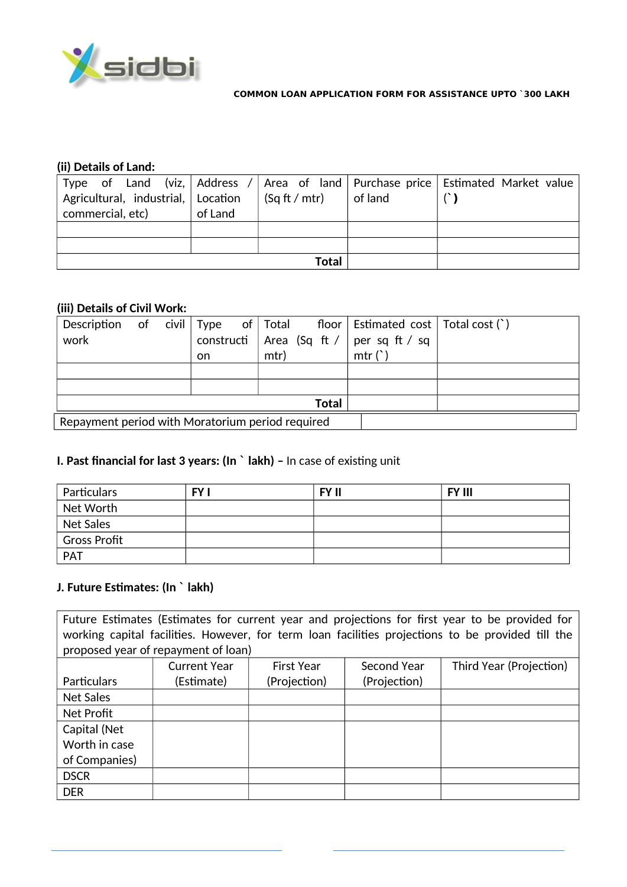

## **(ii) Details of Land:**

|                                    |         |                      |         | Type of Land (viz, Address / Area of land Purchase price Estimated Market value |
|------------------------------------|---------|----------------------|---------|---------------------------------------------------------------------------------|
| Agricultural, industrial, Location |         | $\int$ (Sq ft / mtr) | of land |                                                                                 |
| commercial, etc)                   | of Land |                      |         |                                                                                 |
|                                    |         |                      |         |                                                                                 |
|                                    |         |                      |         |                                                                                 |
|                                    |         | Total                |         |                                                                                 |

## **(iii) Details of Civil Work:**

|              |                                                  |  |           |  |      |  | Description of civil Type of Total floor Estimated cost Total cost $()$ |  |  |
|--------------|--------------------------------------------------|--|-----------|--|------|--|-------------------------------------------------------------------------|--|--|
| work         |                                                  |  |           |  |      |  | constructi   Area (Sq ft /   per sq ft / sq                             |  |  |
|              |                                                  |  | <b>on</b> |  | mtr) |  | mtr(')                                                                  |  |  |
|              |                                                  |  |           |  |      |  |                                                                         |  |  |
|              |                                                  |  |           |  |      |  |                                                                         |  |  |
| <b>Total</b> |                                                  |  |           |  |      |  |                                                                         |  |  |
|              | Repayment period with Moratorium period required |  |           |  |      |  |                                                                         |  |  |

# **I. Past financial for last 3 years: (In ` lakh) - In case of existing unit**

| Particulars                                 | FY I | <b>FY II</b> | <b>FY III</b> |
|---------------------------------------------|------|--------------|---------------|
| Net Worth                                   |      |              |               |
| Net Sales                                   |      |              |               |
| <sup><math>\vdash</math></sup> Gross Profit |      |              |               |
| PAT                                         |      |              |               |

## **J. Future Estimates: (In ` lakh)**

Future Estimates (Estimates for current year and projections for first year to be provided for working capital facilities. However, for term loan facilities projections to be provided till the proposed year of repayment of loan)

| . <i>.</i>         | <b>Current Year</b> | <b>First Year</b> | Second Year  | Third Year (Projection) |
|--------------------|---------------------|-------------------|--------------|-------------------------|
|                    |                     |                   |              |                         |
| <b>Particulars</b> | (Estimate)          | (Projection)      | (Projection) |                         |
| Net Sales          |                     |                   |              |                         |
| Net Profit         |                     |                   |              |                         |
| Capital (Net       |                     |                   |              |                         |
| Worth in case      |                     |                   |              |                         |
| of Companies)      |                     |                   |              |                         |
| <b>DSCR</b>        |                     |                   |              |                         |
| <b>DER</b>         |                     |                   |              |                         |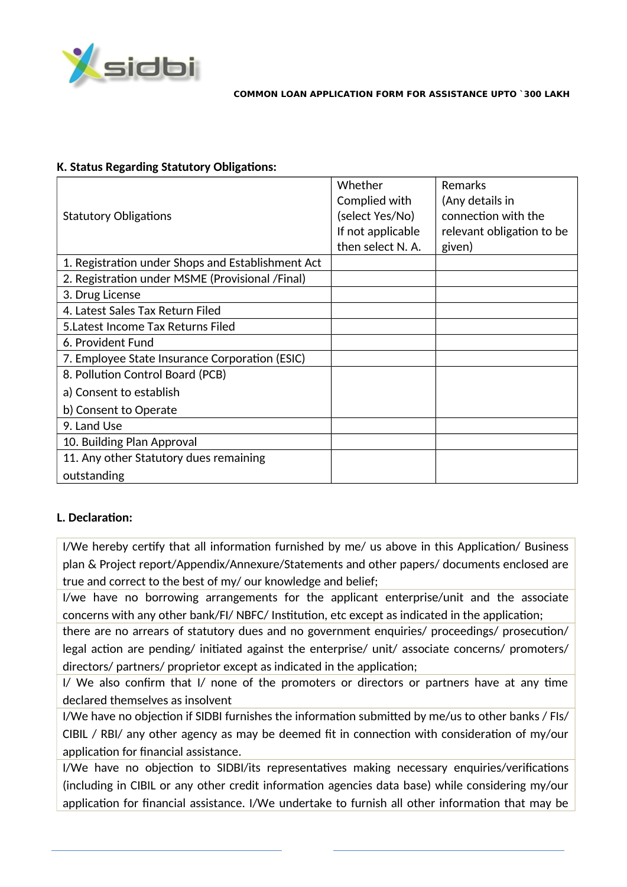

## **K. Status Regarding Statutory Obligations:**

| <b>Statutory Obligations</b>                      | Whether<br>Complied with<br>(select Yes/No)<br>If not applicable<br>then select N. A. | Remarks<br>(Any details in<br>connection with the<br>relevant obligation to be<br>given) |
|---------------------------------------------------|---------------------------------------------------------------------------------------|------------------------------------------------------------------------------------------|
| 1. Registration under Shops and Establishment Act |                                                                                       |                                                                                          |
| 2. Registration under MSME (Provisional /Final)   |                                                                                       |                                                                                          |
| 3. Drug License                                   |                                                                                       |                                                                                          |
| 4. Latest Sales Tax Return Filed                  |                                                                                       |                                                                                          |
| 5. Latest Income Tax Returns Filed                |                                                                                       |                                                                                          |
| 6. Provident Fund                                 |                                                                                       |                                                                                          |
| 7. Employee State Insurance Corporation (ESIC)    |                                                                                       |                                                                                          |
| 8. Pollution Control Board (PCB)                  |                                                                                       |                                                                                          |
| a) Consent to establish                           |                                                                                       |                                                                                          |
| b) Consent to Operate                             |                                                                                       |                                                                                          |
| 9. Land Use                                       |                                                                                       |                                                                                          |
| 10. Building Plan Approval                        |                                                                                       |                                                                                          |
| 11. Any other Statutory dues remaining            |                                                                                       |                                                                                          |
| outstanding                                       |                                                                                       |                                                                                          |

# **L. Declaration:**

I/We hereby certify that all information furnished by me/ us above in this Application/ Business plan & Project report/Appendix/Annexure/Statements and other papers/ documents enclosed are true and correct to the best of my/ our knowledge and belief;

I/we have no borrowing arrangements for the applicant enterprise/unit and the associate concerns with any other bank/FI/ NBFC/ Institution, etc except as indicated in the application;

there are no arrears of statutory dues and no government enquiries/ proceedings/ prosecution/ legal action are pending/ initiated against the enterprise/ unit/ associate concerns/ promoters/ directors/ partners/ proprietor except as indicated in the application;

I/ We also confirm that I/ none of the promoters or directors or partners have at any time declared themselves as insolvent

I/We have no objection if SIDBI furnishes the information submitted by me/us to other banks / FIs/ CIBIL / RBI/ any other agency as may be deemed fit in connection with consideration of my/our application for financial assistance.

I/We have no objection to SIDBI/its representatives making necessary enquiries/verifications  $(including in CIBIL or any other credit information agencies data base) while considering my/our$ application for financial assistance. I/We undertake to furnish all other information that may be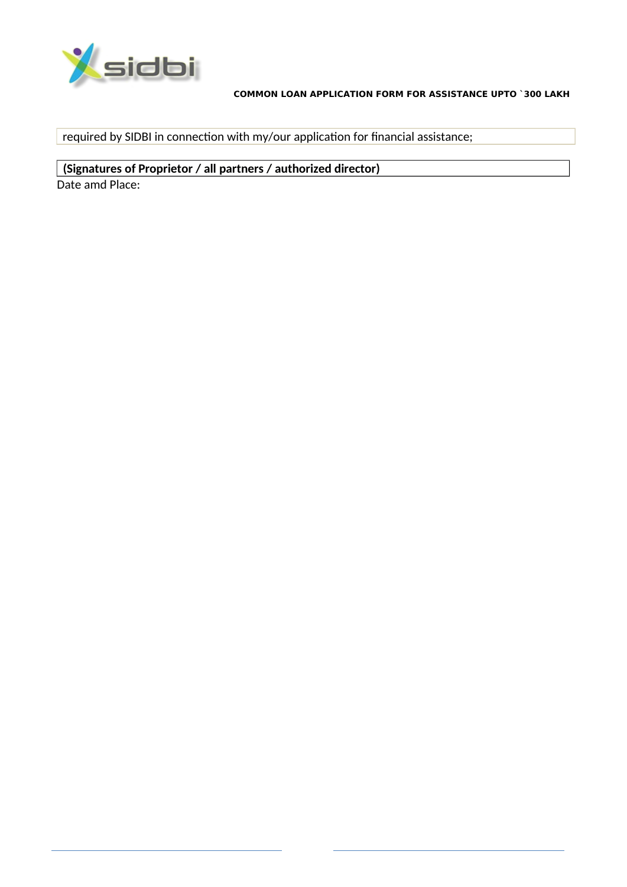

required by SIDBI in connection with my/our application for financial assistance;

(Signatures of Proprietor / all partners / authorized director) Date amd Place: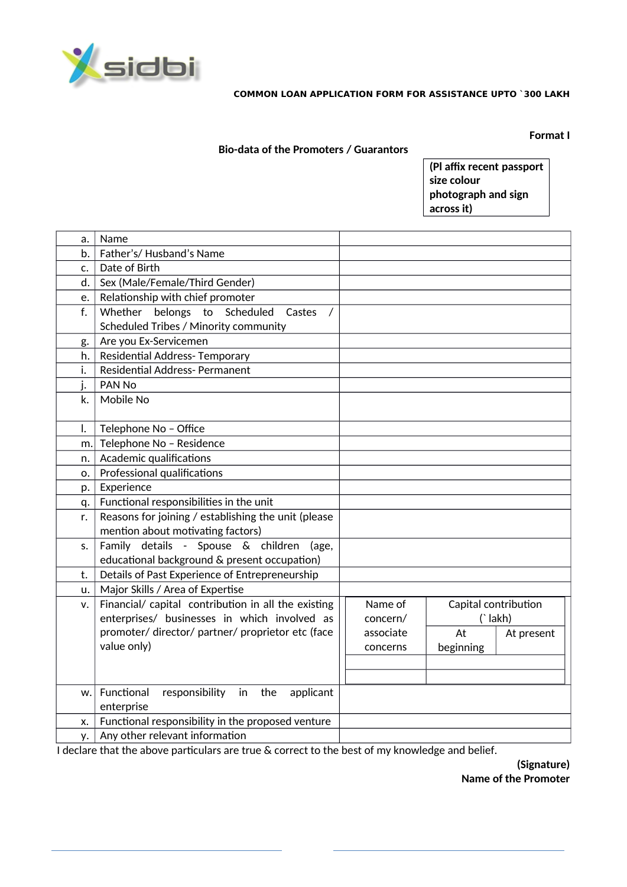

**Format I** 

### **Bio-data of the Promoters / Guarantors**

(Pl affix recent passport size colour photograph and sign across it)

| a. | Name                                                   |           |                      |            |
|----|--------------------------------------------------------|-----------|----------------------|------------|
| b. | Father's/Husband's Name                                |           |                      |            |
| c. | Date of Birth                                          |           |                      |            |
| d. | Sex (Male/Female/Third Gender)                         |           |                      |            |
| e. | Relationship with chief promoter                       |           |                      |            |
| f. | Whether belongs to Scheduled<br>Castes<br>$\prime$     |           |                      |            |
|    | Scheduled Tribes / Minority community                  |           |                      |            |
| g. | Are you Ex-Servicemen                                  |           |                      |            |
| h. | Residential Address-Temporary                          |           |                      |            |
| i. | <b>Residential Address- Permanent</b>                  |           |                      |            |
| j. | PAN No                                                 |           |                      |            |
| k. | Mobile No                                              |           |                      |            |
|    |                                                        |           |                      |            |
| I. | Telephone No - Office                                  |           |                      |            |
| m. | Telephone No - Residence                               |           |                      |            |
| n. | Academic qualifications                                |           |                      |            |
| o. | Professional qualifications                            |           |                      |            |
| p. | Experience                                             |           |                      |            |
| q. | Functional responsibilities in the unit                |           |                      |            |
| r. | Reasons for joining / establishing the unit (please    |           |                      |            |
|    | mention about motivating factors)                      |           |                      |            |
| s. | Family details - Spouse & children<br>(age,            |           |                      |            |
|    | educational background & present occupation)           |           |                      |            |
| t. | Details of Past Experience of Entrepreneurship         |           |                      |            |
| u. | Major Skills / Area of Expertise                       |           |                      |            |
| v. | Financial/ capital contribution in all the existing    | Name of   | Capital contribution |            |
|    | enterprises/ businesses in which involved as           | concern/  | ('lakh)              |            |
|    | promoter/ director/ partner/ proprietor etc (face      | associate | At                   | At present |
|    | value only)                                            | concerns  | beginning            |            |
|    |                                                        |           |                      |            |
|    |                                                        |           |                      |            |
| w. | Functional<br>responsibility<br>in<br>the<br>applicant |           |                      |            |
|    | enterprise                                             |           |                      |            |
| X. | Functional responsibility in the proposed venture      |           |                      |            |
| у. | Any other relevant information                         |           |                      |            |

I declare that the above particulars are true & correct to the best of my knowledge and belief.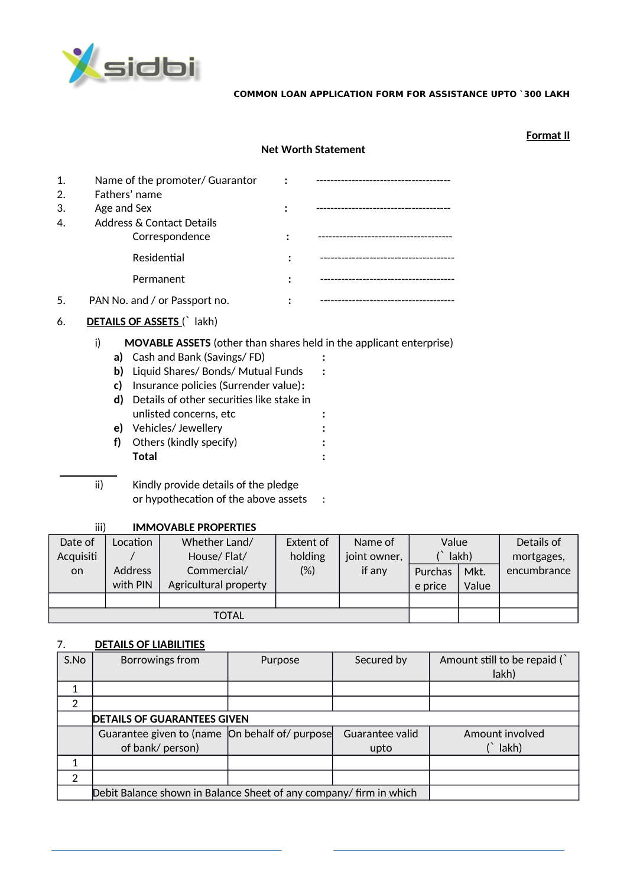

**Format II**

|    |             |                                           | <b>Net Worth Statement</b>                                                 |
|----|-------------|-------------------------------------------|----------------------------------------------------------------------------|
| 1. |             | Name of the promoter/ Guarantor           |                                                                            |
| 2. |             | Fathers' name                             |                                                                            |
| 3. | Age and Sex |                                           |                                                                            |
| 4. |             | Address & Contact Details                 |                                                                            |
|    |             | Correspondence                            |                                                                            |
|    |             | Residential                               |                                                                            |
|    |             | Permanent                                 |                                                                            |
| 5. |             | PAN No. and / or Passport no.             |                                                                            |
| 6. |             | <b>DETAILS OF ASSETS ()</b> lakh)         |                                                                            |
|    | i)          |                                           | <b>MOVABLE ASSETS</b> (other than shares held in the applicant enterprise) |
|    |             | a) Cash and Bank (Savings/FD)             |                                                                            |
|    | b)          | Liquid Shares/ Bonds/ Mutual Funds        |                                                                            |
|    | c)          | Insurance policies (Surrender value):     |                                                                            |
|    | d)          | Details of other securities like stake in |                                                                            |
|    |             | unlisted concerns, etc                    |                                                                            |
|    |             | e) Vehicles/Jewellery                     |                                                                            |
|    | f)          | Others (kindly specify)<br><b>Total</b>   |                                                                            |
|    |             |                                           |                                                                            |
|    | ii)         | Kindly provide details of the pledge      |                                                                            |
|    |             | or hypothecation of the above assets      |                                                                            |
|    |             |                                           |                                                                            |

#### iii) **IMMOVABLE PROPERTIES**

| Date of   | _ocation | Whether Land/         | Extent of | Name of      | Value          |       | Details of  |
|-----------|----------|-----------------------|-----------|--------------|----------------|-------|-------------|
| Acquisiti |          | House/Flat/           | holding   | joint owner, |                | lakh) | mortgages,  |
| on.       | Address  | Commercial/           | (%)       | if any       | <b>Purchas</b> | Mkt.  | encumbrance |
|           | with PIN | Agricultural property |           |              | e price        | Value |             |
|           |          |                       |           |              |                |       |             |
|           | TOTAL    |                       |           |              |                |       |             |

# 7. **DETAILS OF LIABILITIES**

| S.No | Borrowings from                                                    | Purpose | Secured by      | Amount still to be repaid (<br>lakh) |  |
|------|--------------------------------------------------------------------|---------|-----------------|--------------------------------------|--|
|      |                                                                    |         |                 |                                      |  |
| 2    |                                                                    |         |                 |                                      |  |
|      | <b>DETAILS OF GUARANTEES GIVEN</b>                                 |         |                 |                                      |  |
|      | Guarantee given to (name On behalf of/ purpose                     |         | Guarantee valid | Amount involved                      |  |
|      | of bank/ person)                                                   |         | upto            | lakh)                                |  |
|      |                                                                    |         |                 |                                      |  |
| 2    |                                                                    |         |                 |                                      |  |
|      | Debit Balance shown in Balance Sheet of any company/ firm in which |         |                 |                                      |  |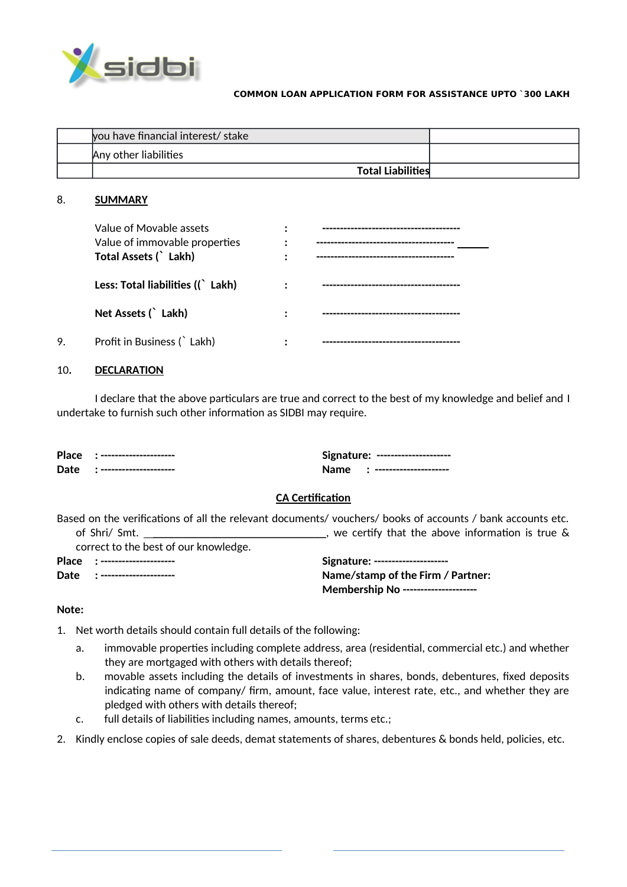

| you have financial interest/ stake |  |
|------------------------------------|--|
| Any other liabilities              |  |
| <b>Total Liabilities</b>           |  |

#### 8. **SUMMARY**

|    | Value of Movable assets<br>Value of immovable properties<br>Total Assets (`Lakh) |  |
|----|----------------------------------------------------------------------------------|--|
|    | Less: Total liabilities ((`Lakh)                                                 |  |
|    | Net Assets ( Lakh)                                                               |  |
| 9. | Profit in Business ( Lakh)                                                       |  |

#### 10**. DECLARATION**

I declare that the above particulars are true and correct to the best of my knowledge and belief and I undertake to furnish such other information as SIDBI may require.

| <b>Place</b> | ----------------------- | Signature:<br>---------------------- |
|--------------|-------------------------|--------------------------------------|
| <b>Date</b>  | ----------------------- | Name.<br>-----------------------     |

## **CA Certification**

Based on the verifications of all the relevant documents/ vouchers/ books of accounts / bank accounts etc. of Shri/ Smt. \_\_\_\_\_\_\_\_\_\_\_\_\_\_\_\_\_\_\_\_\_\_\_\_\_\_\_\_\_\_\_\_, we certify that the above information is true &

correct to the best of our knowledge.

|  | -------------<br>m d<br>.,<br>.,<br>., |
|--|----------------------------------------|
|  | --------<br>- 1<br>- 1<br>- 1          |

| Place :-------------------- | Signature: ---------------------           |
|-----------------------------|--------------------------------------------|
| Date :--------------------  | Name/stamp of the Firm / Partner:          |
|                             | <b>Membership No ---------------------</b> |

#### **Note:**

- 1. Net worth details should contain full details of the following:
	- a. immovable properties including complete address, area (residential, commercial etc.) and whether they are mortgaged with others with details thereof;
	- b. movable assets including the details of investments in shares, bonds, debentures, fixed deposits indicating name of company/ firm, amount, face value, interest rate, etc., and whether they are pledged with others with details thereof;
	- $c.$  full details of liabilities including names, amounts, terms etc.;

2. Kindly enclose copies of sale deeds, demat statements of shares, debentures & bonds held, policies, etc.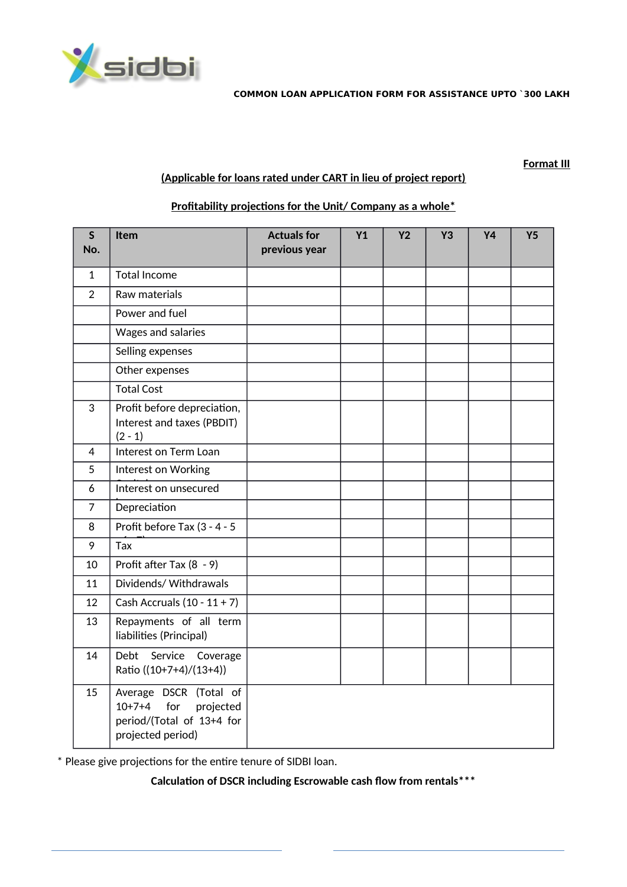

#### **Format III**

## **(Applicable for loans rated under CART in lieu of project report)**

| $\mathsf{S}$<br>No. | <b>Item</b>                                                                                              | <b>Actuals for</b><br>previous year | Y1 | <b>Y2</b> | <b>Y3</b> | <b>Y4</b> | Y <sub>5</sub> |
|---------------------|----------------------------------------------------------------------------------------------------------|-------------------------------------|----|-----------|-----------|-----------|----------------|
| $\mathbf{1}$        | <b>Total Income</b>                                                                                      |                                     |    |           |           |           |                |
| $\overline{2}$      | Raw materials                                                                                            |                                     |    |           |           |           |                |
|                     | Power and fuel                                                                                           |                                     |    |           |           |           |                |
|                     | Wages and salaries                                                                                       |                                     |    |           |           |           |                |
|                     | Selling expenses                                                                                         |                                     |    |           |           |           |                |
|                     | Other expenses                                                                                           |                                     |    |           |           |           |                |
|                     | <b>Total Cost</b>                                                                                        |                                     |    |           |           |           |                |
| 3                   | Profit before depreciation,<br>Interest and taxes (PBDIT)<br>$(2 - 1)$                                   |                                     |    |           |           |           |                |
| 4                   | Interest on Term Loan                                                                                    |                                     |    |           |           |           |                |
| $\overline{5}$      | Interest on Working                                                                                      |                                     |    |           |           |           |                |
| 6                   | Interest on unsecured                                                                                    |                                     |    |           |           |           |                |
| $\overline{7}$      | Depreciation                                                                                             |                                     |    |           |           |           |                |
| 8                   | Profit before Tax (3 - 4 - 5                                                                             |                                     |    |           |           |           |                |
| 9                   | Tax                                                                                                      |                                     |    |           |           |           |                |
| 10                  | Profit after Tax (8 - 9)                                                                                 |                                     |    |           |           |           |                |
| 11                  | Dividends/Withdrawals                                                                                    |                                     |    |           |           |           |                |
| 12                  | Cash Accruals $(10 - 11 + 7)$                                                                            |                                     |    |           |           |           |                |
| 13                  | Repayments of all term<br>liabilities (Principal)                                                        |                                     |    |           |           |           |                |
| 14                  | Service Coverage<br>Debt<br>Ratio ((10+7+4)/(13+4))                                                      |                                     |    |           |           |           |                |
| 15                  | Average DSCR (Total of<br>$10+7+4$<br>for<br>projected<br>period/(Total of 13+4 for<br>projected period) |                                     |    |           |           |           |                |

### **Profitability projections for the Unit/ Company as a whole\***

\* Please give projections for the entire tenure of SIDBI loan.

Calculation of DSCR including Escrowable cash flow from rentals\*\*\*